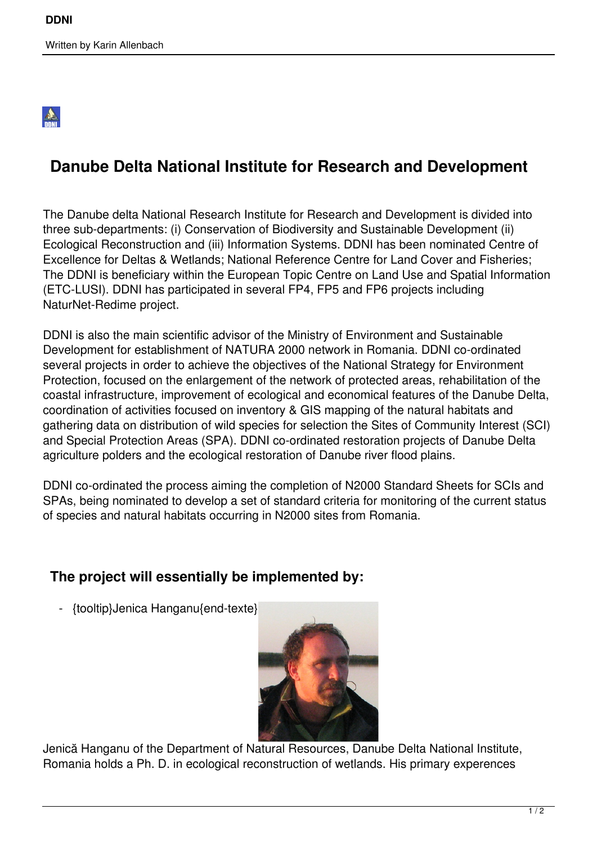## 2

## **Danube Delta National Institute for Research and Development**

The Danube delta National Research Institute for Research and Development is divided into three sub-departments: (i) Conservation of Biodiversity and Sustainable Development (ii) Ecological Reconstruction and (iii) Information Systems. DDNI has been nominated Centre of Excellence for Deltas & Wetlands; National Reference Centre for Land Cover and Fisheries; The DDNI is beneficiary within the European Topic Centre on Land Use and Spatial Information (ETC-LUSI). DDNI has participated in several FP4, FP5 and FP6 projects including NaturNet-Redime project.

DDNI is also the main scientific advisor of the Ministry of Environment and Sustainable Development for establishment of NATURA 2000 network in Romania. DDNI co-ordinated several projects in order to achieve the objectives of the National Strategy for Environment Protection, focused on the enlargement of the network of protected areas, rehabilitation of the coastal infrastructure, improvement of ecological and economical features of the Danube Delta, coordination of activities focused on inventory & GIS mapping of the natural habitats and gathering data on distribution of wild species for selection the Sites of Community Interest (SCI) and Special Protection Areas (SPA). DDNI co-ordinated restoration projects of Danube Delta agriculture polders and the ecological restoration of Danube river flood plains.

DDNI co-ordinated the process aiming the completion of N2000 Standard Sheets for SCIs and SPAs, being nominated to develop a set of standard criteria for monitoring of the current status of species and natural habitats occurring in N2000 sites from Romania.

## **The project will essentially be implemented by:**

- {tooltip}Jenica Hanganu{end-texte}



Jenică Hanganu of the Department of Natural Resources, Danube Delta National Institute, Romania holds a Ph. D. in ecological reconstruction of wetlands. His primary experences